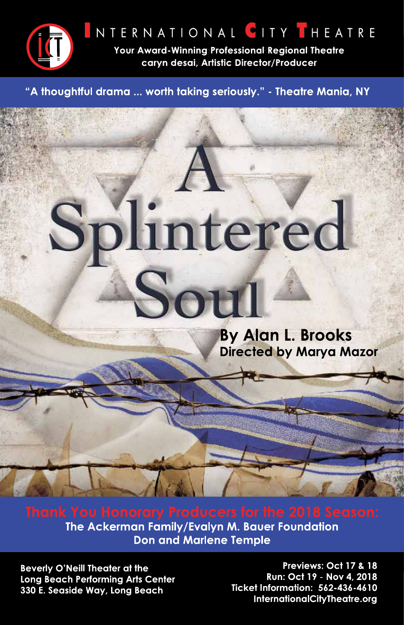

NTERNATIONAL CITY THEATRE

Your Award-Winning Professional Regional Theatre caryn desai, Artistic Director/Producer

"A thoughtful drama ... worth taking seriously." - Theatre Mania, NY

# Splintered Sou

By Alan L. Brooks **Directed by Marya Mazor** 

The Ackerman Family/Evalyn M. Bauer Foundation **Don and Marlene Temple** 

**Beverly O'Neill Theater at the Long Beach Performing Arts Center** 330 E. Seaside Way, Long Beach

Previews: Oct 17 & 18 Run: Oct 19 - Nov 4, 2018 Ticket Information: 562-436-4610 InternationalCityTheatre.org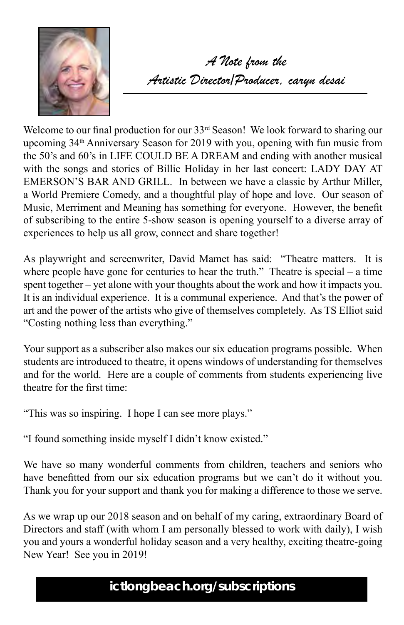

*A Note from the Artistic Director/Producer, caryn desai*

Welcome to our final production for our 33<sup>rd</sup> Season! We look forward to sharing our upcoming 34<sup>th</sup> Anniversary Season for 2019 with you, opening with fun music from the 50's and 60's in LIFE COULD BE A DREAM and ending with another musical with the songs and stories of Billie Holiday in her last concert: LADY DAY AT EMERSON'S BAR AND GRILL. In between we have a classic by Arthur Miller, a World Premiere Comedy, and a thoughtful play of hope and love. Our season of Music, Merriment and Meaning has something for everyone. However, the benefit of subscribing to the entire 5-show season is opening yourself to a diverse array of experiences to help us all grow, connect and share together!

As playwright and screenwriter, David Mamet has said: "Theatre matters. It is where people have gone for centuries to hear the truth." Theatre is special – a time spent together – yet alone with your thoughts about the work and how it impacts you. It is an individual experience. It is a communal experience. And that's the power of art and the power of the artists who give of themselves completely. As TS Elliot said "Costing nothing less than everything."

Your support as a subscriber also makes our six education programs possible. When students are introduced to theatre, it opens windows of understanding for themselves and for the world. Here are a couple of comments from students experiencing live theatre for the first time:

"This was so inspiring. I hope I can see more plays."

"I found something inside myself I didn't know existed."

We have so many wonderful comments from children, teachers and seniors who have benefitted from our six education programs but we can't do it without you. Thank you for your support and thank you for making a difference to those we serve.

As we wrap up our 2018 season and on behalf of my caring, extraordinary Board of Directors and staff (with whom I am personally blessed to work with daily), I wish you and yours a wonderful holiday season and a very healthy, exciting theatre-going New Year! See you in 2019!

# **ictlongbeach.org/subscriptions**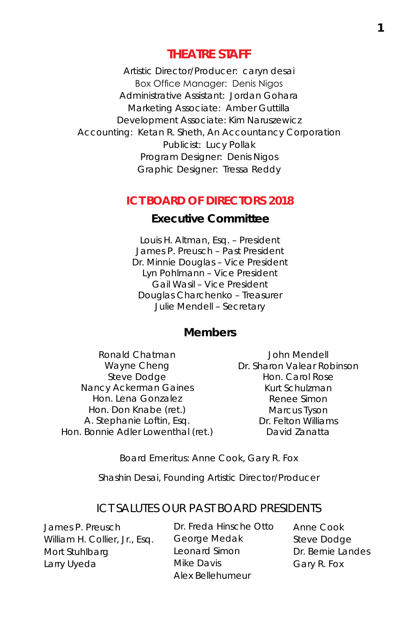#### **THEATRE STAFF**

Artistic Director/Producer: caryn desai Box Office Manager: Denis Nigos Administrative Assistant: Jordan Gohara Marketing Associate: Amber Guttilla Development Associate: Kim Naruszewicz Accounting: Ketan R. Sheth, An Accountancy Corporation Publicist: Lucy Pollak Program Designer: Denis Nigos Graphic Designer: Tressa Reddy

#### **ICT BOARD OF DIRECTORS 2018**

#### **Executive Committee**

Louis H. Altman, Esq. – President James P. Preusch – Past President Dr. Minnie Douglas – Vice President Lyn Pohlmann – Vice President Gail Wasil – Vice President Douglas Charchenko – Treasurer Julie Mendell – Secretary

#### **Members**

Ronald Chatman Wayne Cheng Steve Dodge Nancy Ackerman Gaines Hon. Lena Gonzalez Hon. Don Knabe (ret.) A. Stephanie Loftin, Esq. Hon. Bonnie Adler Lowenthal (ret.)

John Mendell Dr. Sharon Valear Robinson Hon. Carol Rose Kurt Schulzman Renee Simon Marcus Tyson Dr. Felton Williams David Zanatta

Board Emeritus: Anne Cook, Gary R. Fox

Shashin Desai, Founding Artistic Director/Producer

#### ICT SALUTES OUR PAST BOARD PRESIDENTS

James P. Preusch William H. Collier, Jr., Esq. Mort Stuhlbarg Larry Uyeda

Dr. Freda Hinsche Otto George Medak Leonard Simon Mike Davis Alex Bellehumeur

Anne Cook Steve Dodge Dr. Bernie Landes Gary R. Fox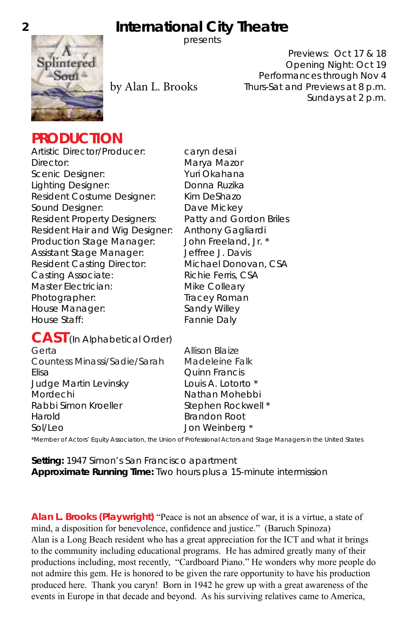# **2 International City Theatre**



presents

by Alan L. Brooks

Previews: Oct 17 & 18 Opening Night: Oct 19 Performances through Nov 4 Thurs-Sat and Previews at 8 p.m. Sundays at 2 p.m.

## **PRODUCTION**

Artistic Director/Producer: caryn desai Director: Marya Mazor Scenic Designer: Yuri Okahana Lighting Designer: Donna Ruzika Resident Costume Designer: Kim DeShazo Sound Designer: Dave Mickey Resident Property Designers: Patty and Gordon Briles Resident Hair and Wig Designer: Anthony Gagliardi Production Stage Manager: John Freeland, Jr. \* Assistant Stage Manager: Jeffree J. Davis Resident Casting Director: Michael Donovan, CSA Casting Associate: Richie Ferris, CSA Master Electrician: Mike Colleary Photographer: Tracey Roman House Manager: Sandy Willey House Staff: Fannie Daly

## **CAST** (In Alphabetical Order)

| Gerta                        | Allison Blaize       |
|------------------------------|----------------------|
| Countess Minassi/Sadie/Sarah | Madeleine Falk       |
| Elisa                        | <b>Ouinn Francis</b> |
| Judge Martin Levinsky        | Louis A. Lotorto *   |
| Mordechi                     | Nathan Mohebbi       |
| Rabbi Simon Kroeller         | Stephen Rockwell *   |
| Harold                       | <b>Brandon Root</b>  |
| Sol/Leo                      | Jon Weinberg *       |
|                              |                      |

\*Member of Actors' Equity Association, the Union of Professional Actors and Stage Managers in the United States

**Setting:** 1947 Simon's San Francisco apartment **Approximate Running Time:** Two hours plus a 15-minute intermission

**Alan L. Brooks (Playwright)** "Peace is not an absence of war, it is a virtue, a state of mind, a disposition for benevolence, confidence and justice." (Baruch Spinoza) Alan is a Long Beach resident who has a great appreciation for the ICT and what it brings to the community including educational programs. He has admired greatly many of their productions including, most recently, "Cardboard Piano." He wonders why more people do not admire this gem. He is honored to be given the rare opportunity to have his production produced here. Thank you caryn! Born in 1942 he grew up with a great awareness of the events in Europe in that decade and beyond. As his surviving relatives came to America,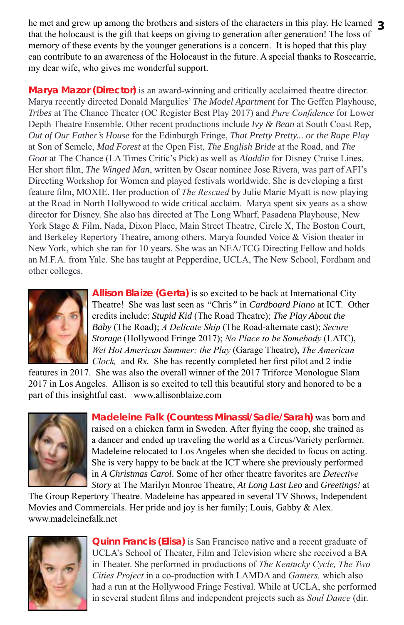he met and grew up among the brothers and sisters of the characters in this play. He learned 3 that the holocaust is the gift that keeps on giving to generation after generation! The loss of memory of these events by the younger generations is a concern. It is hoped that this play can contribute to an awareness of the Holocaust in the future. A special thanks to Rosecarrie, my dear wife, who gives me wonderful support.

**Marya Mazor (Director)** is an award-winning and critically acclaimed theatre director. Marya recently directed Donald Margulies' *The Model Apartment* for The Geffen Playhouse, *Tribes* at The Chance Theater (OC Register Best Play 2017) and *Pure Confidence* for Lower Depth Theatre Ensemble. Other recent productions include *Ivy & Bean* at South Coast Rep, *Out of Our Father's House* for the Edinburgh Fringe, *That Pretty Pretty... or the Rape Play* at Son of Semele, *Mad Forest* at the Open Fist, *The English Bride* at the Road, and *The Goat* at The Chance (LA Times Critic's Pick) as well as *Aladdin* for Disney Cruise Lines. Her short film, *The Winged Man*, written by Oscar nominee Jose Rivera, was part of AFI's Directing Workshop for Women and played festivals worldwide. She is developing a first feature film, MOXIE. Her production of *The Rescued* by Julie Marie Myatt is now playing at the Road in North Hollywood to wide critical acclaim. Marya spent six years as a show director for Disney. She also has directed at The Long Wharf, Pasadena Playhouse, New York Stage & Film, Nada, Dixon Place, Main Street Theatre, Circle X, The Boston Court, and Berkeley Repertory Theatre, among others. Marya founded Voice & Vision theater in New York, which she ran for 10 years. She was an NEA/TCG Directing Fellow and holds an M.F.A. from Yale. She has taught at Pepperdine, UCLA, The New School, Fordham and other colleges.



**Allison Blaize (Gerta)** is so excited to be back at International City Theatre! She was last seen as *"*Chris*"* in *Cardboard Piano* at ICT. Other credits include: *Stupid Kid* (The Road Theatre); *The Play About the Baby* (The Road); *A Delicate Ship* (The Road-alternate cast); *Secure Storage* (Hollywood Fringe 2017); *No Place to be Somebody* (LATC), *Wet Hot American Summer: the Play* (Garage Theatre), *The American Clock,* and *Rx.* She has recently completed her first pilot and 2 indie

features in 2017. She was also the overall winner of the 2017 Triforce Monologue Slam 2017 in Los Angeles. Allison is so excited to tell this beautiful story and honored to be a part of this insightful cast. www.allisonblaize.com



**Madeleine Falk (Countess Minassi/Sadie/Sarah)** was born and raised on a chicken farm in Sweden. After flying the coop, she trained as a dancer and ended up traveling the world as a Circus/Variety performer. Madeleine relocated to Los Angeles when she decided to focus on acting. She is very happy to be back at the ICT where she previously performed in *A Christmas Carol*. Some of her other theatre favorites are *Detective Story* at The Marilyn Monroe Theatre, *At Long Last Leo* and *Greetings!* at

The Group Repertory Theatre. Madeleine has appeared in several TV Shows, Independent Movies and Commercials. Her pride and joy is her family; Louis, Gabby & Alex. www.madeleinefalk.net



**Quinn Francis (Elisa)** is San Francisco native and a recent graduate of UCLA's School of Theater, Film and Television where she received a BA in Theater. She performed in productions of *The Kentucky Cycle, The Two Cities Project* in a co-production with LAMDA and *Gamers,* which also had a run at the Hollywood Fringe Festival. While at UCLA, she performed in several student films and independent projects such as *Soul Dance* (dir.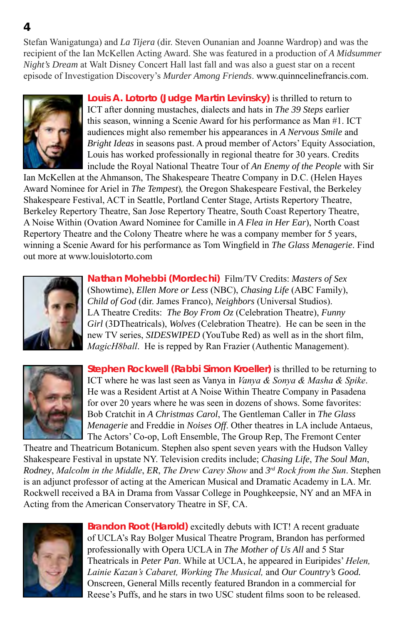Stefan Wanigatunga) and *La Tijera* (dir. Steven Ounanian and Joanne Wardrop) and was the recipient of the Ian McKellen Acting Award. She was featured in a production of *A Midsummer Night's Dream* at Walt Disney Concert Hall last fall and was also a guest star on a recent episode of Investigation Discovery's *Murder Among Friends*. www.quinncelinefrancis.com.



**Louis A. Lotorto (Judge Martin Levinsky)** is thrilled to return to ICT after donning mustaches, dialects and hats in *The 39 Steps* earlier this season, winning a Scenie Award for his performance as Man #1. ICT audiences might also remember his appearances in *A Nervous Smile* and *Bright Ideas* in seasons past. A proud member of Actors' Equity Association, Louis has worked professionally in regional theatre for 30 years. Credits include the Royal National Theatre Tour of *An Enemy of the People* with Sir

Ian McKellen at the Ahmanson, The Shakespeare Theatre Company in D.C. (Helen Hayes Award Nominee for Ariel in *The Tempest*)*,* the Oregon Shakespeare Festival, the Berkeley Shakespeare Festival, ACT in Seattle, Portland Center Stage, Artists Repertory Theatre, Berkeley Repertory Theatre, San Jose Repertory Theatre, South Coast Repertory Theatre, A Noise Within (Ovation Award Nominee for Camille in *A Flea in Her Ear*), North Coast Repertory Theatre and the Colony Theatre where he was a company member for 5 years, winning a Scenie Award for his performance as Tom Wingfield in *The Glass Menagerie*. Find out more at www.louislotorto.com



**Nathan Mohebbi (Mordechi)** Film/TV Credits: *Masters of Sex* (Showtime), *Ellen More or Less* (NBC), *Chasing Life* (ABC Family), *Child of God* (dir. James Franco), *Neighbors* (Universal Studios). LA Theatre Credits: *The Boy From Oz* (Celebration Theatre), *Funny Girl* (3DTheatricals), *Wolves* (Celebration Theatre). He can be seen in the new TV series, *SIDESWIPED* (YouTube Red) as well as in the short film, *MagicH8ball*. He is repped by Ran Frazier (Authentic Management).



**Stephen Rockwell (Rabbi Simon Kroeller)** is thrilled to be returning to ICT where he was last seen as Vanya in *Vanya & Sonya & Masha & Spike*. He was a Resident Artist at A Noise Within Theatre Company in Pasadena for over 20 years where he was seen in dozens of shows. Some favorites: Bob Cratchit in *A Christmas Carol*, The Gentleman Caller in *The Glass Menagerie* and Freddie in *Noises Off*. Other theatres in LA include Antaeus, The Actors' Co-op, Loft Ensemble, The Group Rep, The Fremont Center

Theatre and Theatricum Botanicum. Stephen also spent seven years with the Hudson Valley Shakespeare Festival in upstate NY. Television credits include; *Chasing Life*, *The Soul Man*, *Rodney*, *Malcolm in the Middle*, *ER*, *The Drew Carey Show* and *3rd Rock from the Sun*. Stephen is an adjunct professor of acting at the American Musical and Dramatic Academy in LA. Mr. Rockwell received a BA in Drama from Vassar College in Poughkeepsie, NY and an MFA in Acting from the American Conservatory Theatre in SF, CA.



**Brandon Root (Harold)** excitedly debuts with ICT! A recent graduate of UCLA's Ray Bolger Musical Theatre Program, Brandon has performed professionally with Opera UCLA in *The Mother of Us All* and 5 Star Theatricals in *Peter Pan*. While at UCLA, he appeared in Euripides' *Helen, Lainie Kazan's Cabaret, Working The Musical,* and *Our Country's Good.* Onscreen, General Mills recently featured Brandon in a commercial for Reese's Puffs, and he stars in two USC student films soon to be released.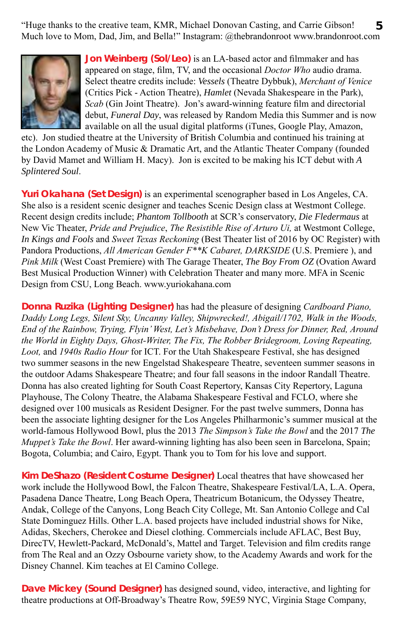"Huge thanks to the creative team, KMR, Michael Donovan Casting, and Carrie Gibson! **5** Much love to Mom, Dad, Jim, and Bella!" Instagram: @thebrandonroot www.brandonroot.com



**Jon Weinberg (Sol/Leo)** is an LA-based actor and filmmaker and has appeared on stage, film, TV, and the occasional *Doctor Who* audio drama. Select theatre credits include: *Vessels* (Theatre Dybbuk), *Merchant of Venice* (Critics Pick - Action Theatre), *Hamlet* (Nevada Shakespeare in the Park), *Scab* (Gin Joint Theatre). Jon's award-winning feature film and directorial debut, *Funeral Day*, was released by Random Media this Summer and is now available on all the usual digital platforms (iTunes, Google Play, Amazon,

etc). Jon studied theatre at the University of British Columbia and continued his training at the London Academy of Music & Dramatic Art, and the Atlantic Theater Company (founded by David Mamet and William H. Macy). Jon is excited to be making his ICT debut with *A Splintered Soul*.

**Yuri Okahana (Set Design)** is an experimental scenographer based in Los Angeles, CA. She also is a resident scenic designer and teaches Scenic Design class at Westmont College. Recent design credits include; *Phantom Tollbooth* at SCR's conservatory, *Die Fledermaus* at New Vic Theater, *Pride and Prejudice*, *The Resistible Rise of Arturo Ui,* at Westmont College, *In Kings and Fools* and *Sweet Texas Reckoning* (Best Theater list of 2016 by OC Register) with Pandora Productions, *All American Gender F\*\*K Cabaret, DARKSIDE* (U.S. Premiere ), and *Pink Milk* (West Coast Premiere) with The Garage Theater, *The Boy From OZ* (Ovation Award Best Musical Production Winner) with Celebration Theater and many more. MFA in Scenic Design from CSU, Long Beach. www.yuriokahana.com

**Donna Ruzika (Lighting Designer)** has had the pleasure of designing *Cardboard Piano, Daddy Long Legs, Silent Sky, Uncanny Valley, Shipwrecked!, Abigail/1702, Walk in the Woods, End of the Rainbow, Trying, Flyin' West, Let's Misbehave, Don't Dress for Dinner, Red, Around the World in Eighty Days, Ghost-Writer, The Fix, The Robber Bridegroom, Loving Repeating, Loot,* and *1940s Radio Hour* for ICT. For the Utah Shakespeare Festival, she has designed two summer seasons in the new Engelstad Shakespeare Theatre, seventeen summer seasons in the outdoor Adams Shakespeare Theatre; and four fall seasons in the indoor Randall Theatre. Donna has also created lighting for South Coast Repertory, Kansas City Repertory, Laguna Playhouse, The Colony Theatre, the Alabama Shakespeare Festival and FCLO, where she designed over 100 musicals as Resident Designer. For the past twelve summers, Donna has been the associate lighting designer for the Los Angeles Philharmonic's summer musical at the world-famous Hollywood Bowl, plus the 2013 *The Simpson's Take the Bowl* and the 2017 *The Muppet's Take the Bowl*. Her award-winning lighting has also been seen in Barcelona, Spain; Bogota, Columbia; and Cairo, Egypt. Thank you to Tom for his love and support.

**Kim DeShazo (Resident Costume Designer)** Local theatres that have showcased her work include the Hollywood Bowl, the Falcon Theatre, Shakespeare Festival/LA, L.A. Opera, Pasadena Dance Theatre, Long Beach Opera, Theatricum Botanicum, the Odyssey Theatre, Andak, College of the Canyons, Long Beach City College, Mt. San Antonio College and Cal State Dominguez Hills. Other L.A. based projects have included industrial shows for Nike, Adidas, Skechers, Cherokee and Diesel clothing. Commercials include AFLAC, Best Buy, DirecTV, Hewlett-Packard, McDonald's, Mattel and Target. Television and film credits range from The Real and an Ozzy Osbourne variety show, to the Academy Awards and work for the Disney Channel. Kim teaches at El Camino College.

**Dave Mickey (Sound Designer)** has designed sound, video, interactive, and lighting for theatre productions at Off-Broadway's Theatre Row, 59E59 NYC, Virginia Stage Company,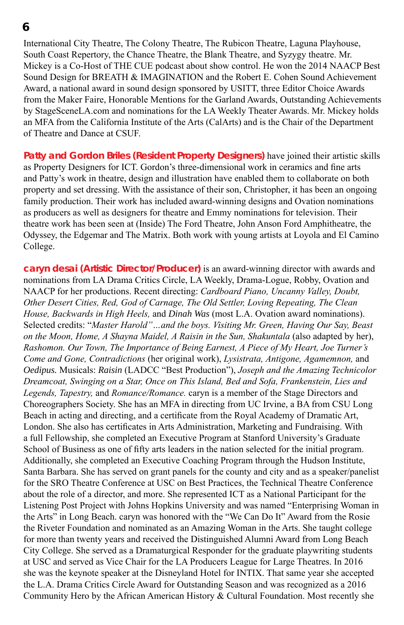International City Theatre, The Colony Theatre, The Rubicon Theatre, Laguna Playhouse, South Coast Repertory, the Chance Theatre, the Blank Theatre, and Syzygy theatre. Mr. Mickey is a Co-Host of THE CUE podcast about show control. He won the 2014 NAACP Best Sound Design for BREATH & IMAGINATION and the Robert E. Cohen Sound Achievement Award, a national award in sound design sponsored by USITT, three Editor Choice Awards from the Maker Faire, Honorable Mentions for the Garland Awards, Outstanding Achievements by StageSceneLA.com and nominations for the LA Weekly Theater Awards. Mr. Mickey holds an MFA from the California Institute of the Arts (CalArts) and is the Chair of the Department of Theatre and Dance at CSUF.

**Patty and Gordon Briles (Resident Property Designers)** have joined their artistic skills as Property Designers for ICT. Gordon's three-dimensional work in ceramics and fine arts and Patty's work in theatre, design and illustration have enabled them to collaborate on both property and set dressing. With the assistance of their son, Christopher, it has been an ongoing family production. Their work has included award-winning designs and Ovation nominations as producers as well as designers for theatre and Emmy nominations for television. Their theatre work has been seen at (Inside) The Ford Theatre, John Anson Ford Amphitheatre, the Odyssey, the Edgemar and The Matrix. Both work with young artists at Loyola and El Camino College.

**caryn desai (Artistic Director/Producer)** is an award-winning director with awards and nominations from LA Drama Critics Circle, LA Weekly, Drama-Logue, Robby, Ovation and NAACP for her productions. Recent directing: *Cardboard Piano, Uncanny Valley, Doubt, Other Desert Cities, Red, God of Carnage, The Old Settler, Loving Repeating, The Clean House, Backwards in High Heels,* and *Dinah Was* (most L.A. Ovation award nominations). Selected credits: "*Master Harold"…and the boys. Visiting Mr. Green, Having Our Say, Beast on the Moon, Home, A Shayna Maidel, A Raisin in the Sun, Shakuntala* (also adapted by her), *Rashomon. Our Town, The Importance of Being Earnest, A Piece of My Heart, Joe Turner's Come and Gone, Contradictions* (her original work), *Lysistrata, Antigone, Agamemnon,* and *Oedipus.* Musicals: *Raisin* (LADCC "Best Production"), *Joseph and the Amazing Technicolor Dreamcoat, Swinging on a Star, Once on This Island, Bed and Sofa, Frankenstein, Lies and Legends, Tapestry,* and *Romance/Romance.* caryn is a member of the Stage Directors and Choreographers Society. She has an MFA in directing from UC Irvine, a BA from CSU Long Beach in acting and directing, and a certificate from the Royal Academy of Dramatic Art, London. She also has certificates in Arts Administration, Marketing and Fundraising. With a full Fellowship, she completed an Executive Program at Stanford University's Graduate School of Business as one of fifty arts leaders in the nation selected for the initial program. Additionally, she completed an Executive Coaching Program through the Hudson Institute, Santa Barbara. She has served on grant panels for the county and city and as a speaker/panelist for the SRO Theatre Conference at USC on Best Practices, the Technical Theatre Conference about the role of a director, and more. She represented ICT as a National Participant for the Listening Post Project with Johns Hopkins University and was named "Enterprising Woman in the Arts" in Long Beach. caryn was honored with the "We Can Do It" Award from the Rosie the Riveter Foundation and nominated as an Amazing Woman in the Arts. She taught college for more than twenty years and received the Distinguished Alumni Award from Long Beach City College. She served as a Dramaturgical Responder for the graduate playwriting students at USC and served as Vice Chair for the LA Producers League for Large Theatres. In 2016 she was the keynote speaker at the Disneyland Hotel for INTIX. That same year she accepted the L.A. Drama Critics Circle Award for Outstanding Season and was recognized as a 2016 Community Hero by the African American History & Cultural Foundation. Most recently she

**<sup>6</sup>**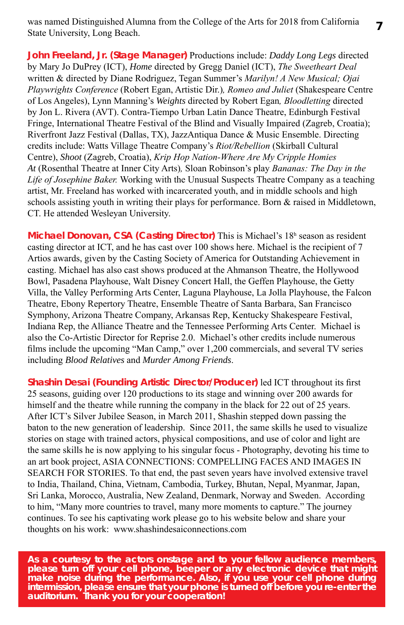was named Distinguished Alumna from the College of the Arts for 2018 from California State University, Long Beach.

**John Freeland, Jr. (Stage Manager)** Productions include: *Daddy Long Legs* directed by Mary Jo DuPrey (ICT), *Home* directed by Gregg Daniel (ICT), *The Sweetheart Deal*  written & directed by Diane Rodriguez, Tegan Summer's *Marilyn! A New Musical; Ojai Playwrights Conference* (Robert Egan, Artistic Dir.)*, Romeo and Juliet* (Shakespeare Centre of Los Angeles), Lynn Manning's *Weights* directed by Robert Egan*, Bloodletting* directed by Jon L. Rivera (AVT). Contra-Tiempo Urban Latin Dance Theatre, Edinburgh Festival Fringe, International Theatre Festival of the Blind and Visually Impaired (Zagreb, Croatia); Riverfront Jazz Festival (Dallas, TX), JazzAntiqua Dance & Music Ensemble. Directing credits include: Watts Village Theatre Company's *Riot/Rebellion* (Skirball Cultural Centre), *Shoot* (Zagreb, Croatia), *Krip Hop Nation-Where Are My Cripple Homies At* (Rosenthal Theatre at Inner City Arts)*,* Sloan Robinson's play *Bananas: The Day in the Life of Josephine Baker.* Working with the Unusual Suspects Theatre Company as a teaching artist, Mr. Freeland has worked with incarcerated youth, and in middle schools and high schools assisting youth in writing their plays for performance. Born & raised in Middletown, CT. He attended Wesleyan University.

**Michael Donovan, CSA (Casting Director)** This is Michael's 18h season as resident casting director at ICT, and he has cast over 100 shows here. Michael is the recipient of 7 Artios awards, given by the Casting Society of America for Outstanding Achievement in casting. Michael has also cast shows produced at the Ahmanson Theatre, the Hollywood Bowl, Pasadena Playhouse, Walt Disney Concert Hall, the Geffen Playhouse, the Getty Villa, the Valley Performing Arts Center, Laguna Playhouse, La Jolla Playhouse, the Falcon Theatre, Ebony Repertory Theatre, Ensemble Theatre of Santa Barbara, San Francisco Symphony, Arizona Theatre Company, Arkansas Rep, Kentucky Shakespeare Festival, Indiana Rep, the Alliance Theatre and the Tennessee Performing Arts Center. Michael is also the Co-Artistic Director for Reprise 2.0. Michael's other credits include numerous films include the upcoming "Man Camp," over 1,200 commercials, and several TV series including *Blood Relatives* and *Murder Among Friends*.

**Shashin Desai (Founding Artistic Director/Producer)** led ICT throughout its first 25 seasons, guiding over 120 productions to its stage and winning over 200 awards for himself and the theatre while running the company in the black for 22 out of 25 years. After ICT's Silver Jubilee Season, in March 2011, Shashin stepped down passing the baton to the new generation of leadership. Since 2011, the same skills he used to visualize stories on stage with trained actors, physical compositions, and use of color and light are the same skills he is now applying to his singular focus - Photography, devoting his time to an art book project, ASIA CONNECTIONS: COMPELLING FACES AND IMAGES IN SEARCH FOR STORIES. To that end, the past seven years have involved extensive travel to India, Thailand, China, Vietnam, Cambodia, Turkey, Bhutan, Nepal, Myanmar, Japan, Sri Lanka, Morocco, Australia, New Zealand, Denmark, Norway and Sweden. According to him, "Many more countries to travel, many more moments to capture." The journey continues. To see his captivating work please go to his website below and share your thoughts on his work: www.shashindesaiconnections.com

*As a courtesy to the actors onstage and to your fellow audience members, please turn off your cell phone, beeper or any electronic device that might make noise during the performance. Also, if you use your cell phone during intermission, please ensure that your phone is turned off before you re-enter the auditorium. Thank you for your cooperation!*

**7**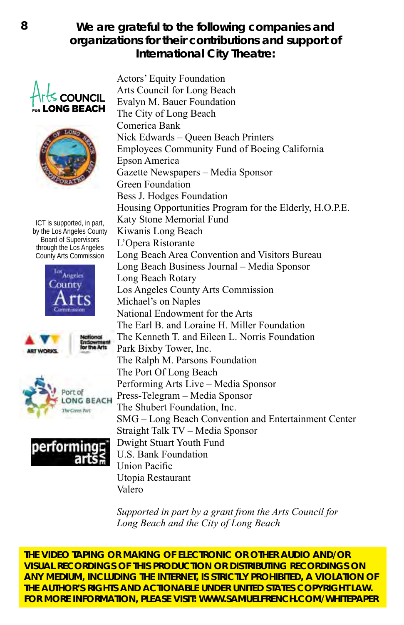#### **We are grateful to the following companies and organizations for their contributions and support of International City Theatre:**





ICT is supported, in part, by the Los Angeles County Board of Supervisors through the Los Angeles County Arts Commission









Actors' Equity Foundation Arts Council for Long Beach Evalyn M. Bauer Foundation      The City of Long Beach Comerica Bank Nick Edwards – Queen Beach Printers Employees Community Fund of Boeing California Epson America Gazette Newspapers – Media Sponsor Green Foundation Bess J. Hodges Foundation Housing Opportunities Program for the Elderly, H.O.P.E. Katy Stone Memorial Fund Kiwanis Long Beach L'Opera Ristorante Long Beach Area Convention and Visitors Bureau Long Beach Business Journal – Media Sponsor Long Beach Rotary Los Angeles County Arts Commission Michael's on Naples   National Endowment for the Arts The Earl B. and Loraine H. Miller Foundation The Kenneth T. and Eileen L. Norris Foundation   Park Bixby Tower, Inc. The Ralph M. Parsons Foundation The Port Of Long Beach Performing Arts Live – Media Sponsor Press-Telegram – Media Sponsor The Shubert Foundation, Inc. SMG – Long Beach Convention and Entertainment Center Straight Talk TV – Media Sponsor Dwight Stuart Youth Fund U.S. Bank Foundation Union Pacific Utopia Restaurant Valero

*Supported in part by a grant from the Arts Council for Long Beach and the City of Long Beach*

**THE VIDEO TAPING OR MAKING OF ELECTRONIC OR OTHER AUDIO AND/OR VISUAL RECORDINGS OF THIS PRODUCTION OR DISTRIBUTING RECORDINGS ON ANY MEDIUM, INCLUDING THE INTERNET, IS STRICTLY PROHIBITED, A VIOLATION OF THE AUTHOR'S RIGHTS AND ACTIONABLE UNDER UNITED STATES COPYRIGHT LAW. FOR MORE INFORMATION, PLEASE VISIT: WWW.SAMUELFRENCH.COM/WHITEPAPER**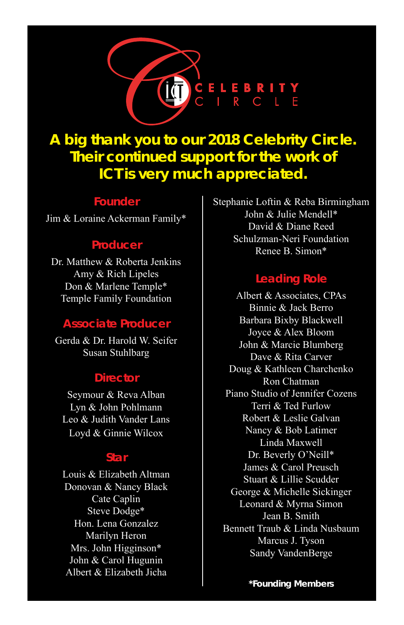

# **A big thank you to our 2018 Celebrity Circle. Their continued support for the work of ICT is very much appreciated.**

#### **Founder**

Jim & Loraine Ackerman Family\*

#### **Producer**

Dr. Matthew & Roberta Jenkins Amy & Rich Lipeles Don & Marlene Temple\* Temple Family Foundation

#### **Associate Producer**

Gerda & Dr. Harold W. Seifer Susan Stuhlbarg

#### **Director**

Seymour & Reva Alban Lyn & John Pohlmann Leo & Judith Vander Lans Loyd & Ginnie Wilcox

#### **Star**

Louis & Elizabeth Altman Donovan & Nancy Black Cate Caplin Steve Dodge\* Hon. Lena Gonzalez Marilyn Heron Mrs. John Higginson\* John & Carol Hugunin Albert & Elizabeth Jicha

Stephanie Loftin & Reba Birmingham John & Julie Mendell\* David & Diane Reed Schulzman-Neri Foundation Renee B. Simon\*

#### **Leading Role**

Albert & Associates, CPAs Binnie & Jack Berro Barbara Bixby Blackwell Joyce & Alex Bloom John & Marcie Blumberg Dave & Rita Carver Doug & Kathleen Charchenko Ron Chatman Piano Studio of Jennifer Cozens Terri & Ted Furlow Robert & Leslie Galvan Nancy & Bob Latimer Linda Maxwell Dr. Beverly O'Neill\* James & Carol Preusch Stuart & Lillie Scudder George & Michelle Sickinger Leonard & Myrna Simon Jean B. Smith Bennett Traub & Linda Nusbaum Marcus J. Tyson Sandy VandenBerge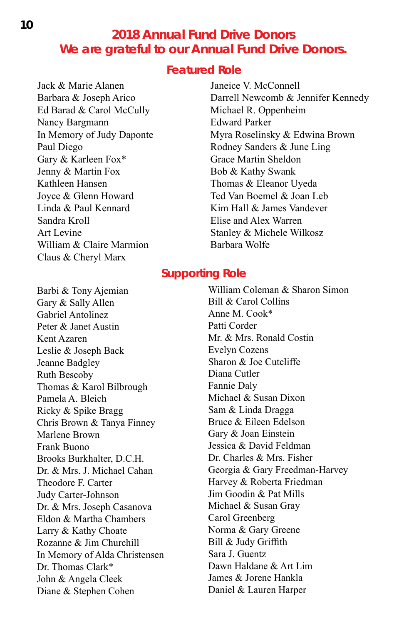#### **2018 Annual Fund Drive Donors We are grateful to our Annual Fund Drive Donors.**

#### **Featured Role**

Jack & Marie Alanen Barbara & Joseph Arico Ed Barad & Carol McCully Nancy Bargmann In Memory of Judy Daponte Paul Diego Gary & Karleen Fox\* Jenny & Martin Fox Kathleen Hansen Joyce & Glenn Howard Linda & Paul Kennard Sandra Kroll Art Levine William & Claire Marmion Claus & Cheryl Marx

Janeice V. McConnell Darrell Newcomb & Jennifer Kennedy Michael R. Oppenheim Edward Parker Myra Roselinsky & Edwina Brown Rodney Sanders & June Ling Grace Martin Sheldon Bob & Kathy Swank Thomas & Eleanor Uyeda Ted Van Boemel & Joan Leb Kim Hall & James Vandever Elise and Alex Warren Stanley & Michele Wilkosz Barbara Wolfe

#### **Supporting Role**

Barbi & Tony Ajemian Gary & Sally Allen Gabriel Antolinez Peter & Janet Austin Kent Azaren Leslie & Joseph Back Jeanne Badgley Ruth Bescoby Thomas & Karol Bilbrough Pamela A. Bleich Ricky & Spike Bragg Chris Brown & Tanya Finney Marlene Brown Frank Buono Brooks Burkhalter, D.C.H. Dr. & Mrs. J. Michael Cahan Theodore F. Carter Judy Carter-Johnson Dr. & Mrs. Joseph Casanova Eldon & Martha Chambers Larry & Kathy Choate Rozanne & Jim Churchill In Memory of Alda Christensen Dr. Thomas Clark\* John & Angela Cleek Diane & Stephen Cohen

William Coleman & Sharon Simon Bill & Carol Collins Anne M. Cook\* Patti Corder Mr. & Mrs. Ronald Costin Evelyn Cozens Sharon & Joe Cutcliffe Diana Cutler Fannie Daly Michael & Susan Dixon Sam & Linda Dragga Bruce & Eileen Edelson Gary & Joan Einstein Jessica & David Feldman Dr. Charles & Mrs. Fisher Georgia & Gary Freedman-Harvey Harvey & Roberta Friedman Jim Goodin & Pat Mills Michael & Susan Gray Carol Greenberg Norma & Gary Greene Bill & Judy Griffith Sara J. Guentz Dawn Haldane & Art Lim James & Jorene Hankla Daniel & Lauren Harper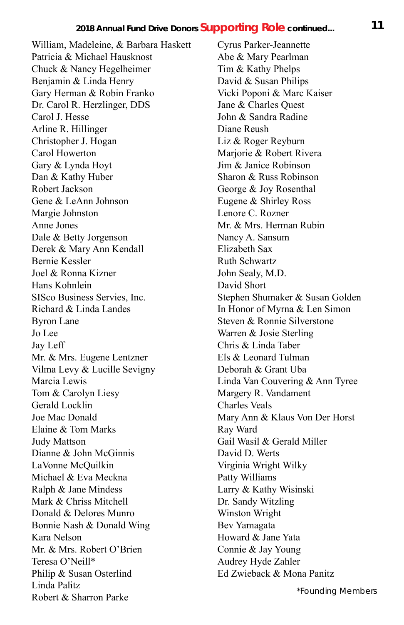William, Madeleine, & Barbara Haskett Patricia & Michael Hausknost Chuck & Nancy Hegelheimer Benjamin & Linda Henry Gary Herman & Robin Franko Dr. Carol R. Herzlinger, DDS Carol J. Hesse Arline R. Hillinger Christopher J. Hogan Carol Howerton Gary & Lynda Hoyt Dan & Kathy Huber Robert Jackson Gene & LeAnn Johnson Margie Johnston Anne Jones Dale & Betty Jorgenson Derek & Mary Ann Kendall Bernie Kessler Joel & Ronna Kizner Hans Kohnlein SISco Business Servies, Inc. Richard & Linda Landes Byron Lane Jo Lee Jay Leff Mr. & Mrs. Eugene Lentzner Vilma Levy & Lucille Sevigny Marcia Lewis Tom & Carolyn Liesy Gerald Locklin Joe Mac Donald Elaine & Tom Marks Judy Mattson Dianne & John McGinnis LaVonne McQuilkin Michael & Eva Meckna Ralph & Jane Mindess Mark & Chriss Mitchell Donald & Delores Munro Bonnie Nash & Donald Wing Kara Nelson Mr. & Mrs. Robert O'Brien Teresa O'Neill\* Philip & Susan Osterlind Linda Palitz Robert & Sharron Parke

Cyrus Parker-Jeannette Abe & Mary Pearlman Tim & Kathy Phelps David & Susan Philips Vicki Poponi & Marc Kaiser Jane & Charles Quest John & Sandra Radine Diane Reush Liz & Roger Reyburn Marjorie & Robert Rivera Jim & Janice Robinson Sharon & Russ Robinson George & Joy Rosenthal Eugene & Shirley Ross Lenore C. Rozner Mr. & Mrs. Herman Rubin Nancy A. Sansum Elizabeth Sax Ruth Schwartz John Sealy, M.D. David Short Stephen Shumaker & Susan Golden In Honor of Myrna & Len Simon Steven & Ronnie Silverstone Warren & Josie Sterling Chris & Linda Taber Els & Leonard Tulman Deborah & Grant Uba Linda Van Couvering & Ann Tyree Margery R. Vandament Charles Veals Mary Ann & Klaus Von Der Horst Ray Ward Gail Wasil & Gerald Miller David D. Werts Virginia Wright Wilky Patty Williams Larry & Kathy Wisinski Dr. Sandy Witzling Winston Wright Bev Yamagata Howard & Jane Yata Connie & Jay Young Audrey Hyde Zahler Ed Zwieback & Mona Panitz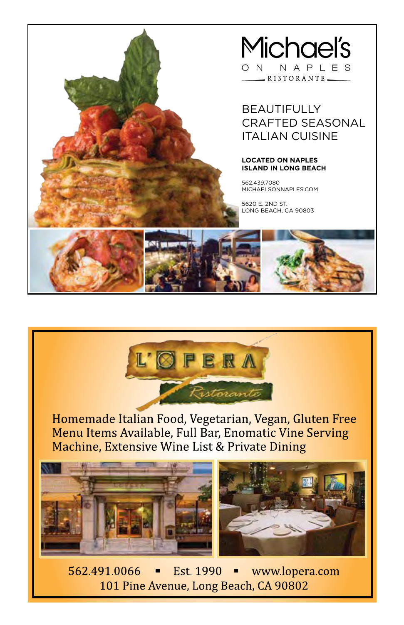#### **Michael's** NAPLES ON. RISTORANTE-

#### BEAUTIFULLY CRAFTED SEASONAL ITALIAN CUISINE

#### **LOCATED ON NAPLES ISLAND IN LONG BEACH**

562.439.7080 MICHAELSONNAPLES.COM

5620 E. 2ND ST. LONG BEACH, CA 90803





Homemade Italian Food, Vegetarian, Vegan, Gluten Free Menu Items Available, Full Bar, Enomatic Vine Serving Machine, Extensive Wine List & Private Dining



562 491 0066 Est 1990 www.lopera.com п Ξ 101 Pine Avenue, Long Beach, CA 90802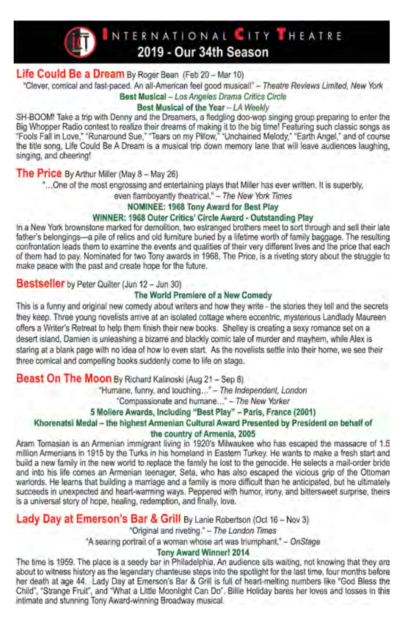

INTERNATIONAL CITY HEATRE 2019 - Our 34th Season

#### Life Could Be a Dream By Roger Bean (Feb 20 - Mar 10)

"Clever, comical and fast-paced. An all-American feel good musical!" - Theatre Reviews Limited, New York

#### Best Musical - Los Angeles Drama Critics Circle

#### Best Musical of the Year - LA Weekly

SH-BOOM! Take a trip with Denny and the Dreamers, a fledgling doo-wop singing group preparing to enter the Big Whopper Radio contest to realize their dreams of making it to the big time! Featuring such classic songs as "Fools Fall in Love," "Runaround Sue," "Tears on my Pillow," "Unchained Melody," "Earth Angel," and of course<br>the title song, Life Could Be A Dream is a musical trip down memory lane that will leave audiences laughing, singing, and cheering!

#### The Price By Arthur Miller (May 8 - May 26)

"... One of the most engrossing and entertaining plays that Miller has ever written. It is superbly,

even flamboyantly theatrical." - The New York Times

#### NOMINEE: 1968 Tony Award for Best Play

#### WINNER: 1968 Outer Critics' Circle Award - Outstanding Play

In a New York brownstone marked for demolition, two estranged brothers meet to sort through and sell their late father's belongings-a pile of relics and old furniture buried by a lifetime worth of family baggage. The resulting confrontation leads them to examine the events and qualities of their very different lives and the price that each of them had to pay. Nominated for two Tony awards in 1968. The Price, is a riveting story about the struggle to make peace with the past and create hope for the future.

#### Bestseller by Peter Quilter (Jun 12 - Jun 30)

#### The World Premiere of a New Comedy

This is a funny and original new comedy about writers and how they write - the stories they tell and the secrets they keep. Three young novelists arrive at an isolated cottage where eccentric, mysterious Landlady Maureen offers a Writer's Retreat to help them finish their new books. Shelley is creating a sexy romance set on a desert island, Damien is unleashing a bizarre and blackly comic tale of murder and mayhem, while Alex is staring at a blank page with no idea of how to even start. As the novelists settle into their home, we see their three comical and compelling books suddenly come to life on stage.

#### Beast On The Moon By Richard Kalinoski (Aug 21 - Sep 8)

"Humane, funny, and touching..." - The Independent, London

"Compassionate and humane..." - The New Yorker

#### 5 Mollere Awards, Including "Best Play" - Paris, France (2001)

#### Khorenatsi Medal - the highest Armenian Cultural Award Presented by President on behalf of the country of Armenia, 2005

Aram Tomasian is an Armenian immigrant living in 1920's Milwaukee who has escaped the massacre of 1.5 million Armenians in 1915 by the Turks in his homeland in Eastern Turkey. He wants to make a fresh start and build a new family in the new world to replace the family he lost to the genocide. He selects a mail-order bride and into his life comes an Armenian teenager, Seta, who has also escaped the vicious grip of the Ottoman warlords. He learns that building a marriage and a family is more difficult than he anticipated, but he ultimately succeeds in unexpected and heart-warming ways, Peppered with humor, irony, and bittersweet surprise, theirs is a universal story of hope, healing, redemption, and finally, love.

#### Lady Day at Emerson's Bar & Grill By Lanie Robertson (Oct 16 - Nov 3)

"Original and riveting," - The London Times

"A searing portrait of a woman whose art was triumphant." - OnStage

#### Tony Award Winner! 2014

The time is 1959. The place is a seedy bar in Philadelphia. An audience sits waiting, not knowing that they are about to witness history as the legendary chanteuse steps into the spotlight for the last time, four months before her death at age 44. Lady Day at Emerson's Bar & Grill is full of heart-melting numbers like "God Bless the Child", "Strange Fruit", and "What a Little Moonlight Can Do". Billie Holiday bares her loves and losses in this intimate and stunning Tony Award-winning Broadway musical.